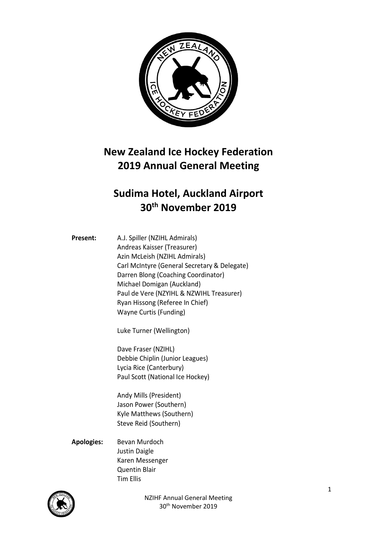

## **New Zealand Ice Hockey Federation 2019 Annual General Meeting**

## **Sudima Hotel, Auckland Airport 30th November 2019**

**Present:** A.J. Spiller (NZIHL Admirals) Andreas Kaisser (Treasurer) Azin McLeish (NZIHL Admirals) Carl McIntyre (General Secretary & Delegate) Darren Blong (Coaching Coordinator) Michael Domigan (Auckland) Paul de Vere (NZYIHL & NZWIHL Treasurer) Ryan Hissong (Referee In Chief) Wayne Curtis (Funding)

Luke Turner (Wellington)

Dave Fraser (NZIHL) Debbie Chiplin (Junior Leagues) Lycia Rice (Canterbury) Paul Scott (National Ice Hockey)

Andy Mills (President) Jason Power (Southern) Kyle Matthews (Southern) Steve Reid (Southern)

## **Apologies:** Bevan Murdoch Justin Daigle Karen Messenger Quentin Blair Tim Ellis

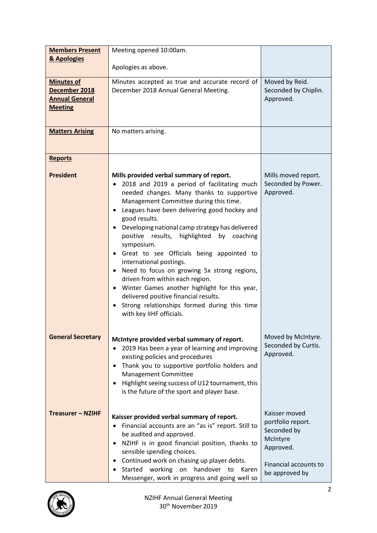| <b>Members Present</b>                                                        | Meeting opened 10:00am.                                                                                                                                                                                                                                                                                                                                                                                                                                                                                                                                                                                                                                                                             |                                                                                                                       |
|-------------------------------------------------------------------------------|-----------------------------------------------------------------------------------------------------------------------------------------------------------------------------------------------------------------------------------------------------------------------------------------------------------------------------------------------------------------------------------------------------------------------------------------------------------------------------------------------------------------------------------------------------------------------------------------------------------------------------------------------------------------------------------------------------|-----------------------------------------------------------------------------------------------------------------------|
| & Apologies                                                                   |                                                                                                                                                                                                                                                                                                                                                                                                                                                                                                                                                                                                                                                                                                     |                                                                                                                       |
|                                                                               | Apologies as above.                                                                                                                                                                                                                                                                                                                                                                                                                                                                                                                                                                                                                                                                                 |                                                                                                                       |
| <b>Minutes of</b><br>December 2018<br><b>Annual General</b><br><b>Meeting</b> | Minutes accepted as true and accurate record of<br>December 2018 Annual General Meeting.                                                                                                                                                                                                                                                                                                                                                                                                                                                                                                                                                                                                            | Moved by Reid.<br>Seconded by Chiplin.<br>Approved.                                                                   |
| <b>Matters Arising</b>                                                        | No matters arising.                                                                                                                                                                                                                                                                                                                                                                                                                                                                                                                                                                                                                                                                                 |                                                                                                                       |
| <b>Reports</b>                                                                |                                                                                                                                                                                                                                                                                                                                                                                                                                                                                                                                                                                                                                                                                                     |                                                                                                                       |
| <b>President</b>                                                              | Mills provided verbal summary of report.<br>• 2018 and 2019 a period of facilitating much<br>needed changes. Many thanks to supportive<br>Management Committee during this time.<br>• Leagues have been delivering good hockey and<br>good results.<br>Developing national camp strategy has delivered<br>positive results, highlighted by coaching<br>symposium.<br>Great to see Officials being appointed to<br>international postings.<br>• Need to focus on growing 5x strong regions,<br>driven from within each region.<br>Winter Games another highlight for this year,<br>delivered positive financial results.<br>Strong relationships formed during this time<br>with key IIHF officials. | Mills moved report.<br>Seconded by Power.<br>Approved.                                                                |
| <b>General Secretary</b>                                                      | McIntyre provided verbal summary of report.<br>2019 Has been a year of learning and improving<br>existing policies and procedures<br>Thank you to supportive portfolio holders and<br><b>Management Committee</b><br>Highlight seeing success of U12 tournament, this<br>is the future of the sport and player base.                                                                                                                                                                                                                                                                                                                                                                                | Moved by McIntyre.<br>Seconded by Curtis.<br>Approved.                                                                |
| <b>Treasurer - NZIHF</b>                                                      | Kaisser provided verbal summary of report.<br>Financial accounts are an "as is" report. Still to<br>be audited and approved.<br>NZIHF is in good financial position, thanks to<br>sensible spending choices.<br>• Continued work on chasing up player debts.<br>Started working on handover to<br>Karen<br>Messenger, work in progress and going well so                                                                                                                                                                                                                                                                                                                                            | Kaisser moved<br>portfolio report.<br>Seconded by<br>McIntyre<br>Approved.<br>Financial accounts to<br>be approved by |

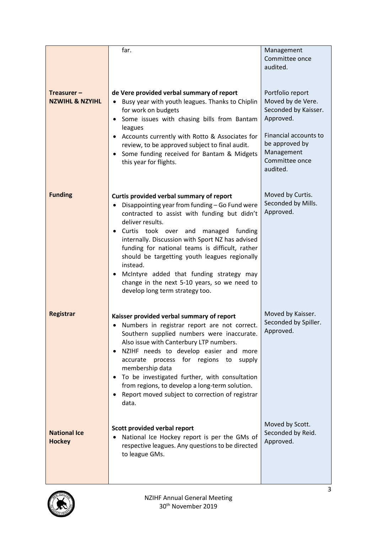|                                             | far.                                                                                                                                                                                                                                                                                                                                                                                                                                                                                                         | Management<br>Committee once<br>audited.                                                                                                                          |
|---------------------------------------------|--------------------------------------------------------------------------------------------------------------------------------------------------------------------------------------------------------------------------------------------------------------------------------------------------------------------------------------------------------------------------------------------------------------------------------------------------------------------------------------------------------------|-------------------------------------------------------------------------------------------------------------------------------------------------------------------|
| Treasurer $-$<br><b>NZWIHL &amp; NZYIHL</b> | de Vere provided verbal summary of report<br>Busy year with youth leagues. Thanks to Chiplin<br>for work on budgets<br>Some issues with chasing bills from Bantam<br>$\bullet$<br>leagues<br>• Accounts currently with Rotto & Associates for<br>review, to be approved subject to final audit.<br>Some funding received for Bantam & Midgets<br>this year for flights.                                                                                                                                      | Portfolio report<br>Moved by de Vere.<br>Seconded by Kaisser.<br>Approved.<br>Financial accounts to<br>be approved by<br>Management<br>Committee once<br>audited. |
| <b>Funding</b>                              | Curtis provided verbal summary of report<br>Disappointing year from funding - Go Fund were<br>contracted to assist with funding but didn't<br>deliver results.<br>Curtis took over and<br>managed funding<br>internally. Discussion with Sport NZ has advised<br>funding for national teams is difficult, rather<br>should be targetting youth leagues regionally<br>instead.<br>McIntyre added that funding strategy may<br>change in the next 5-10 years, so we need to<br>develop long term strategy too. | Moved by Curtis.<br>Seconded by Mills.<br>Approved.                                                                                                               |
| Registrar                                   | Kaisser provided verbal summary of report<br>Numbers in registrar report are not correct.<br>$\bullet$<br>Southern supplied numbers were inaccurate.<br>Also issue with Canterbury LTP numbers.<br>NZIHF needs to develop easier and more<br>٠<br>accurate process for regions to<br>supply<br>membership data<br>To be investigated further, with consultation<br>from regions, to develop a long-term solution.<br>Report moved subject to correction of registrar<br>data.                                | Moved by Kaisser.<br>Seconded by Spiller.<br>Approved.                                                                                                            |
| <b>National Ice</b><br><b>Hockey</b>        | Scott provided verbal report<br>National Ice Hockey report is per the GMs of<br>respective leagues. Any questions to be directed<br>to league GMs.                                                                                                                                                                                                                                                                                                                                                           | Moved by Scott.<br>Seconded by Reid.<br>Approved.                                                                                                                 |

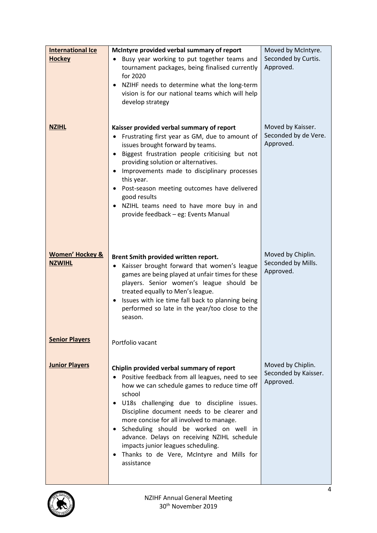| <b>International Ice</b>   | McIntyre provided verbal summary of report                                                                      | Moved by McIntyre.                        |
|----------------------------|-----------------------------------------------------------------------------------------------------------------|-------------------------------------------|
| <b>Hockey</b>              | Busy year working to put together teams and                                                                     | Seconded by Curtis.                       |
|                            | tournament packages, being finalised currently                                                                  | Approved.                                 |
|                            | for 2020                                                                                                        |                                           |
|                            | • NZIHF needs to determine what the long-term<br>vision is for our national teams which will help               |                                           |
|                            | develop strategy                                                                                                |                                           |
|                            |                                                                                                                 |                                           |
|                            |                                                                                                                 |                                           |
| <b>NZIHL</b>               | Kaisser provided verbal summary of report                                                                       | Moved by Kaisser.<br>Seconded by de Vere. |
|                            | Frustrating first year as GM, due to amount of<br>issues brought forward by teams.                              | Approved.                                 |
|                            | Biggest frustration people criticising but not<br>$\bullet$                                                     |                                           |
|                            | providing solution or alternatives.                                                                             |                                           |
|                            | Improvements made to disciplinary processes<br>$\bullet$                                                        |                                           |
|                            | this year.                                                                                                      |                                           |
|                            | Post-season meeting outcomes have delivered                                                                     |                                           |
|                            | good results<br>• NZIHL teams need to have more buy in and                                                      |                                           |
|                            | provide feedback - eg: Events Manual                                                                            |                                           |
|                            |                                                                                                                 |                                           |
|                            |                                                                                                                 |                                           |
|                            |                                                                                                                 |                                           |
| <b>Women' Hockey &amp;</b> | Brent Smith provided written report.                                                                            | Moved by Chiplin.                         |
| <b>NZWIHL</b>              | Kaisser brought forward that women's league<br>٠                                                                | Seconded by Mills.                        |
|                            | games are being played at unfair times for these                                                                | Approved.                                 |
|                            | players. Senior women's league should be                                                                        |                                           |
|                            | treated equally to Men's league.                                                                                |                                           |
|                            | Issues with ice time fall back to planning being<br>$\bullet$<br>performed so late in the year/too close to the |                                           |
|                            | season.                                                                                                         |                                           |
|                            |                                                                                                                 |                                           |
| <b>Senior Players</b>      |                                                                                                                 |                                           |
|                            | Portfolio vacant                                                                                                |                                           |
|                            |                                                                                                                 |                                           |
| <b>Junior Players</b>      | Chiplin provided verbal summary of report                                                                       | Moved by Chiplin.                         |
|                            | • Positive feedback from all leagues, need to see                                                               | Seconded by Kaisser.<br>Approved.         |
|                            | how we can schedule games to reduce time off                                                                    |                                           |
|                            | school<br>· U18s challenging due to discipline issues.                                                          |                                           |
|                            | Discipline document needs to be clearer and                                                                     |                                           |
|                            | more concise for all involved to manage.                                                                        |                                           |
|                            | · Scheduling should be worked on well in                                                                        |                                           |
|                            | advance. Delays on receiving NZIHL schedule                                                                     |                                           |
|                            | impacts junior leagues scheduling.                                                                              |                                           |
|                            | Thanks to de Vere, McIntyre and Mills for<br>assistance                                                         |                                           |
|                            |                                                                                                                 |                                           |
|                            |                                                                                                                 |                                           |

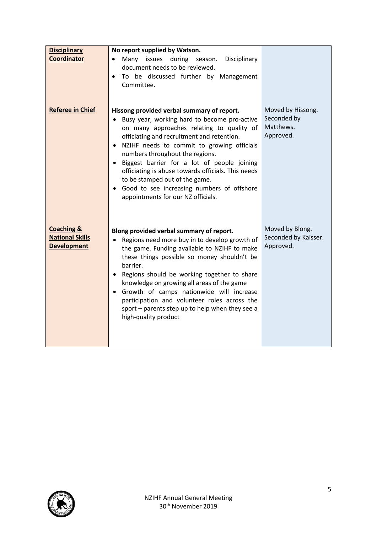| <b>Disciplinary</b>                                                   | No report supplied by Watson.                                                                                                                                                                                                                                                                                                                                                                                                                                                                                      |                                                            |
|-----------------------------------------------------------------------|--------------------------------------------------------------------------------------------------------------------------------------------------------------------------------------------------------------------------------------------------------------------------------------------------------------------------------------------------------------------------------------------------------------------------------------------------------------------------------------------------------------------|------------------------------------------------------------|
| Coordinator                                                           | Many issues during season.<br>Disciplinary<br>document needs to be reviewed.<br>To be discussed further by Management<br>Committee.                                                                                                                                                                                                                                                                                                                                                                                |                                                            |
| <b>Referee in Chief</b>                                               | Hissong provided verbal summary of report.<br>Busy year, working hard to become pro-active<br>$\bullet$<br>on many approaches relating to quality of<br>officiating and recruitment and retention.<br>• NZIHF needs to commit to growing officials<br>numbers throughout the regions.<br>Biggest barrier for a lot of people joining<br>officiating is abuse towards officials. This needs<br>to be stamped out of the game.<br>• Good to see increasing numbers of offshore<br>appointments for our NZ officials. | Moved by Hissong.<br>Seconded by<br>Matthews.<br>Approved. |
| <b>Coaching &amp;</b><br><b>National Skills</b><br><b>Development</b> | Blong provided verbal summary of report.<br>Regions need more buy in to develop growth of<br>the game. Funding available to NZIHF to make<br>these things possible so money shouldn't be<br>barrier.<br>Regions should be working together to share<br>knowledge on growing all areas of the game<br>• Growth of camps nationwide will increase<br>participation and volunteer roles across the<br>sport - parents step up to help when they see a<br>high-quality product                                         | Moved by Blong.<br>Seconded by Kaisser.<br>Approved.       |

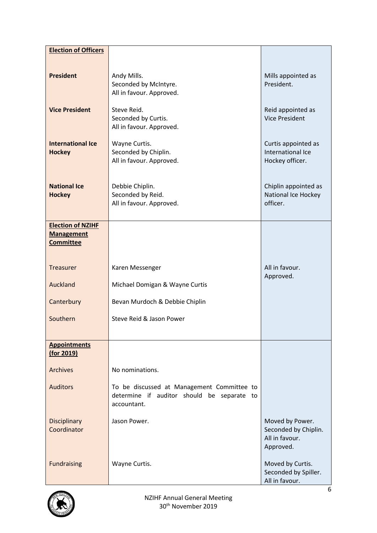| <b>Election of Officers</b>               |                                                                                                         |                                                                        |
|-------------------------------------------|---------------------------------------------------------------------------------------------------------|------------------------------------------------------------------------|
|                                           |                                                                                                         |                                                                        |
| <b>President</b>                          | Andy Mills.<br>Seconded by McIntyre.<br>All in favour. Approved.                                        | Mills appointed as<br>President.                                       |
| <b>Vice President</b>                     | Steve Reid.<br>Seconded by Curtis.<br>All in favour. Approved.                                          | Reid appointed as<br><b>Vice President</b>                             |
| <b>International Ice</b><br><b>Hockey</b> | Wayne Curtis.<br>Seconded by Chiplin.<br>All in favour. Approved.                                       | Curtis appointed as<br>International Ice<br>Hockey officer.            |
| <b>National Ice</b><br><b>Hockey</b>      | Debbie Chiplin.<br>Seconded by Reid.<br>All in favour. Approved.                                        | Chiplin appointed as<br>National Ice Hockey<br>officer.                |
| <b>Election of NZIHF</b>                  |                                                                                                         |                                                                        |
| <b>Management</b><br><b>Committee</b>     |                                                                                                         |                                                                        |
| <b>Treasurer</b>                          | Karen Messenger                                                                                         | All in favour.<br>Approved.                                            |
| Auckland                                  | Michael Domigan & Wayne Curtis                                                                          |                                                                        |
| Canterbury                                | Bevan Murdoch & Debbie Chiplin                                                                          |                                                                        |
| Southern                                  | Steve Reid & Jason Power                                                                                |                                                                        |
| <b>Appointments</b><br>(for 2019)         |                                                                                                         |                                                                        |
| <b>Archives</b>                           | No nominations.                                                                                         |                                                                        |
| <b>Auditors</b>                           | To be discussed at Management Committee to<br>determine if auditor should be separate to<br>accountant. |                                                                        |
| <b>Disciplinary</b><br>Coordinator        | Jason Power.                                                                                            | Moved by Power.<br>Seconded by Chiplin.<br>All in favour.<br>Approved. |
| <b>Fundraising</b>                        | Wayne Curtis.                                                                                           | Moved by Curtis.<br>Seconded by Spiller.<br>All in favour.             |

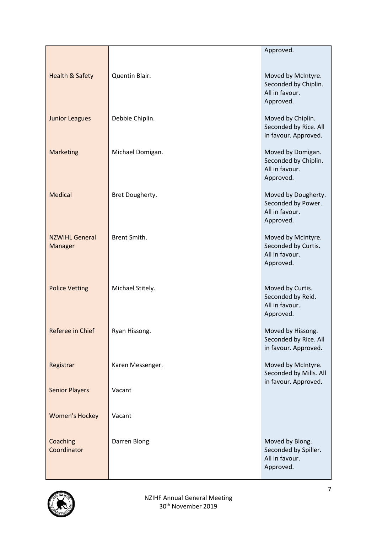|                                  |                  | Approved.                                                                 |
|----------------------------------|------------------|---------------------------------------------------------------------------|
|                                  |                  |                                                                           |
| <b>Health &amp; Safety</b>       | Quentin Blair.   | Moved by McIntyre.<br>Seconded by Chiplin.<br>All in favour.<br>Approved. |
| <b>Junior Leagues</b>            | Debbie Chiplin.  | Moved by Chiplin.<br>Seconded by Rice. All<br>in favour. Approved.        |
| <b>Marketing</b>                 | Michael Domigan. | Moved by Domigan.<br>Seconded by Chiplin.<br>All in favour.<br>Approved.  |
| Medical                          | Bret Dougherty.  | Moved by Dougherty.<br>Seconded by Power.<br>All in favour.<br>Approved.  |
| <b>NZWIHL General</b><br>Manager | Brent Smith.     | Moved by McIntyre.<br>Seconded by Curtis.<br>All in favour.<br>Approved.  |
| <b>Police Vetting</b>            | Michael Stitely. | Moved by Curtis.<br>Seconded by Reid.<br>All in favour.<br>Approved.      |
| Referee in Chief                 | Ryan Hissong.    | Moved by Hissong.<br>Seconded by Rice. All<br>in favour. Approved.        |
| Registrar                        | Karen Messenger. | Moved by McIntyre.<br>Seconded by Mills. All                              |
| <b>Senior Players</b>            | Vacant           | in favour. Approved.                                                      |
| <b>Women's Hockey</b>            | Vacant           |                                                                           |
| Coaching<br>Coordinator          | Darren Blong.    | Moved by Blong.<br>Seconded by Spiller.<br>All in favour.<br>Approved.    |

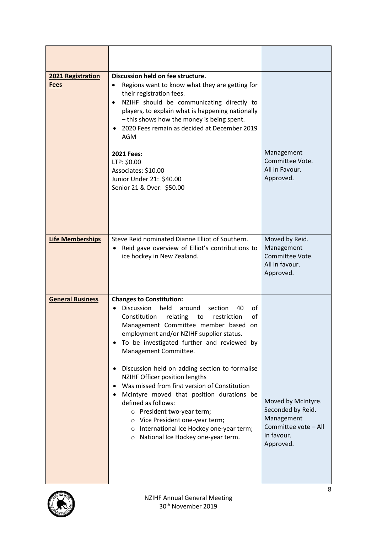| 2021 Registration<br><b>Fees</b> | Discussion held on fee structure.<br>Regions want to know what they are getting for<br>their registration fees.<br>NZIHF should be communicating directly to<br>$\bullet$<br>players, to explain what is happening nationally<br>- this shows how the money is being spent.<br>2020 Fees remain as decided at December 2019<br>AGM<br><b>2021 Fees:</b><br>LTP: \$0.00<br>Associates: \$10.00<br>Junior Under 21: \$40.00<br>Senior 21 & Over: \$50.00                                                                                                                                                                                                                                         | Management<br>Committee Vote.<br>All in Favour.<br>Approved.                                             |
|----------------------------------|------------------------------------------------------------------------------------------------------------------------------------------------------------------------------------------------------------------------------------------------------------------------------------------------------------------------------------------------------------------------------------------------------------------------------------------------------------------------------------------------------------------------------------------------------------------------------------------------------------------------------------------------------------------------------------------------|----------------------------------------------------------------------------------------------------------|
| <b>Life Memberships</b>          | Steve Reid nominated Dianne Elliot of Southern.<br>Reid gave overview of Elliot's contributions to<br>$\bullet$<br>ice hockey in New Zealand.                                                                                                                                                                                                                                                                                                                                                                                                                                                                                                                                                  | Moved by Reid.<br>Management<br>Committee Vote.<br>All in favour.<br>Approved.                           |
| <b>General Business</b>          | <b>Changes to Constitution:</b><br><b>Discussion</b><br>held<br>of<br>around<br>section<br>40<br>of<br>Constitution<br>relating<br>restriction<br>to<br>Management Committee member based<br>on<br>employment and/or NZIHF supplier status.<br>To be investigated further and reviewed by<br>$\bullet$<br>Management Committee.<br>Discussion held on adding section to formalise<br>NZIHF Officer position lengths<br>Was missed from first version of Constitution<br>McIntyre moved that position durations be<br>defined as follows:<br>o President two-year term;<br>O Vice President one-year term;<br>o International Ice Hockey one-year term;<br>o National Ice Hockey one-year term. | Moved by McIntyre.<br>Seconded by Reid.<br>Management<br>Committee vote - All<br>in favour.<br>Approved. |